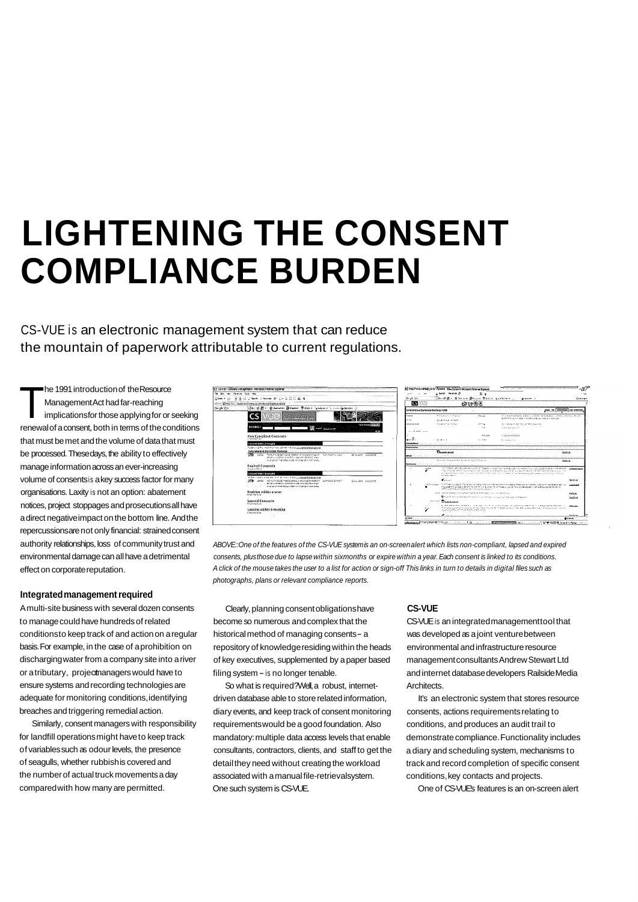## **LIGHTENING THE CONSENT COMPLIANCE BURDEN**

CS-VUE is an electronic management system that can reduce the mountain of paperwork attributable to current regulations.

he 1991 introduction of the Resource<br>
Management Act had far-reaching<br>
implications for those applying for or seeking Management Act had far-reaching renewal of a consent, both in terms of the conditions that must be met and the volume of data that must be processed. These days, the ability to effectively manage information across an ever-increasing volume of consents is a key success factor for many organisations. Laxity is not an option: abatement notices, project stoppages and prosecutions all have a direct negative impact on the bottom line. And the repercussions are not only financial: strained consent authority relationships, loss of community trust and environmental damage can all have a detrimental effect on corporate reputation.

## **Integrated management required**

A multi-site business with several dozen consents Clearly, planning consent obligations have **CS-VUE**  to manage could have hundreds of related become so numerous and complex that the CS-VUE is an integrated management tool that conditions to keep track of and action on a regular historical method of managing consents - a was developed as a joint venture between basis. For example, in the case of a prohibition on repository of knowledge residing within the heads environmental and infrastructure resource discharging water from a company site into a river of key executives, supplemented by a paper based management consultants Andrew Stewart Ltd or a tributary, project managers would have to filing system - is no longer tenable. The mand internet database developers Railside Media ensure systems and recording technologies are So what is required? Well, a robust, internet- Architects



ABOVE:: One of the features of the *CS-VUE system* is an on-screen alert which lists non-compliant, lapsed and expired *consents, plus* those due to lapse within sixmonths or expire within a year. Each consent is linked to its conditions. A click of the mouse takes the user to a list for action or sign-off This links in turn to details in digital files such as photographs, plans or relevant compliance reports.

adequate for monitoring conditions, identifying driven database able to store related information, It's an electronic system that stores resource breaches and triggering remedial action. diary events, and keep track of consent monitoring consents, actions requirements relating to Similarly, consent managers with responsibility requirements would be a good foundation. Also conditions, and produces an audit trail to for landfill operations might have to keep track mandatory: multiple data access levels that enable demonstrate compliance. Functionality includes of variables such as odour levels, the presence consultants, contractors, clients, and staff to get the a diary and scheduling system, mechanisms to of seagulls, whether rubbish is covered and detail they need without creating the workload track and record completion of specific consent the number of actual truck movements a day associated with a manual file-retrieval system. conditions, key contacts and projects. compared with how many are permitted. One such system is CS-VUE. One of CS-VUE's features is an on-screen alert